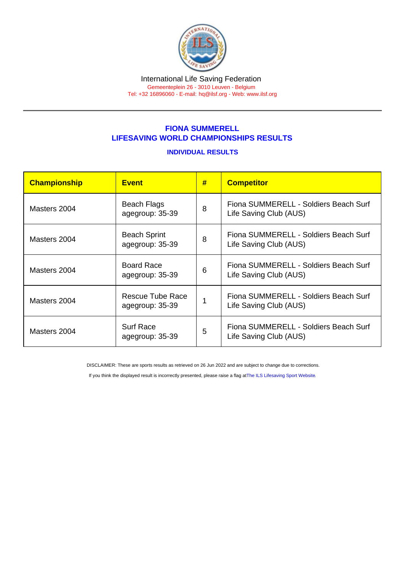## FIONA SUMMERELL LIFESAVING WORLD CHAMPIONSHIPS RESULTS

## INDIVIDUAL RESULTS

| Championship | <b>Event</b>                           | # | <b>Competitor</b>                                               |
|--------------|----------------------------------------|---|-----------------------------------------------------------------|
| Masters 2004 | Beach Flags<br>agegroup: 35-39         | 8 | Fiona SUMMERELL - Soldiers Beach Surf<br>Life Saving Club (AUS) |
| Masters 2004 | <b>Beach Sprint</b><br>agegroup: 35-39 | 8 | Fiona SUMMERELL - Soldiers Beach Surf<br>Life Saving Club (AUS) |
| Masters 2004 | <b>Board Race</b><br>agegroup: 35-39   | 6 | Fiona SUMMERELL - Soldiers Beach Surf<br>Life Saving Club (AUS) |
| Masters 2004 | Rescue Tube Race<br>agegroup: 35-39    |   | Fiona SUMMERELL - Soldiers Beach Surf<br>Life Saving Club (AUS) |
| Masters 2004 | <b>Surf Race</b><br>agegroup: 35-39    | 5 | Fiona SUMMERELL - Soldiers Beach Surf<br>Life Saving Club (AUS) |

DISCLAIMER: These are sports results as retrieved on 26 Jun 2022 and are subject to change due to corrections.

If you think the displayed result is incorrectly presented, please raise a flag at [The ILS Lifesaving Sport Website.](https://sport.ilsf.org)